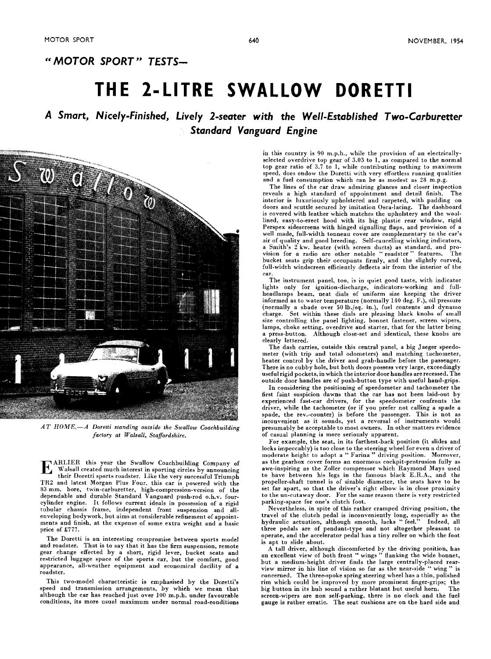### " **MOTOR SPORT" TESTS-**

## **THE 2-LITRE SWALLOW DORETTI**

### **A Smart, Nicely-Finished, Lively 2-seater with the Well-Established Two-Carburetter Standard Vanguard Engine**



 $AT\ HOME. -A\$  Doretti standing outside the Swallow Coachbuilding factory at Walsall, Staffordshire.

**EXARLIER** this year the Swallow Coachbuilding Company of Walsall created much interest in sporting circles by announcing their Doretti sports roadster. Like the very successful Triumnh their Doretti sports roadster. Like the very successful Triumph TR2 and latest Morgan Plus Four. this car is powered with the **83** mm. bore, twin-carburetter, high-compression-version of the dependable and durable Standard Vanguard push-rod 0.h.v. fourcylinder engine. It follows current ideals in possession of a rigid tubular chassis frame, independent front suspension and allenveloping bodywork, but aims at considerable refinement of appointments and finish, at the expense of some extra weight and a basic price of **£777.** 

The Doretti is an interesting compromise between sports model and roadster. That is to say that it has the firm suspension, remote gear change effected by a short, rigid lever, bucket seats and restricted luggage space of the sports car, but the comfort, good appearance, all-weather equipment and economical docility of a roadster.

This two-model characteristic is emphasised by the Doretti's speed and transmission arrangements, by which we mean that although the car has reached just over **100** m.p.h. under favoureble conditions, its more usual maximum under normal road-conditions in this country is **90** m.p.h., while the provision of an electricallyselected overdrive top gear of **3.03** to 1, as compared to the normal top gear ratio of **3.7** to 1, while contributing nothing to maximum speed, does endow the Doretti with very effortless running qualities and a fuel consumption which can be as modest as 28 m.p.g.

The lines of the car draw admiring glances and closer inspection reveals a high standard of appointment and detail finish. The interior is luxuriously upholstered and carpeted, with padding on doors and scuttle secured by imitation Osca-lacing. The dashboard is covered with leather which matches the upholstery and the woollined, easy-to-erect hood with its big plastic rear window, rigid Perspex sidescreens with hinged signalling flaps, and provision of a well made, full-width tonneau cover are complementary to the car's air of quality and good breeding. Self-caucelliug winking indicators, a Smith's 2 kw. heater (with screen ducts) as standard, and pro-vision for a radio are other notable " roadster " features. The bucket seats grip their occupants firmly, and the slightly curved, full-width windscreen efficiently deflects air from the interior of the car.

The instrument panel, too, is in quiet good taste, with indicator lights only for ignition-discharge, indicators-working and full-headlamps beam, neat dials of uniform size keeping the driver informed as to water temperature (normally **140** deg. F.), oil pressure (normally a shade over 50 lb./sq. in.), fuel contents and dynamo charge. Set within these dials are pleasing black knobs of small size controlling the panel lighting, bonnet fastener, screen wipers, lamps, choke setting, overdrive and starter, that for the latter being a press-button. Although close-set and identical, these knobs are clearly lettered.

The dash carries, outside this central panel, a big Jaeger speedometer (with trip and total odometers) and matching tachometer, heater control by the driver and grab-handle before the passenger. There is no cubby hole, but both doors possess very large, exceedingly useful rigid pockets, in which the interior door handles are recessed. The outside door handles are of push-button type with useful hand-grips.

In considering the positioning of speedometer and tachometer the first faint suspicion dawns that the car has not been laid-out by experienced fast-car drivers, for the speedometer confronts the driver, while the tachometer (or if you prefer not calling a spade a spade, the rev.-counter) is before the passenger. This is not as inconvenient as it sounds, yet a reversal of instruments would presumably be acceptable to most owners. In other matters evidence of casual planning is more seriously apparent.

For example, the seat, in its farthest-back position (it slides and locks impeccably) is too close to the steering wheel for even a driver of moderate height to adopt a " Farina " driving position. Moreover, as the gearbox cover forms an enormous cockpit-protrusion fully as awe-inspiring as the Zoller compressor which Raymond Mays used to have between his legs in the famous black E.R.A., and the propeller-shaft tunnel is of sizable diameter, the seats have to be set far apart, so that the driver's right elbow is in close proximity to the un-cutaway door. For the same reason there is very restricted parking-space for one's clutch foot.

Nevertheless, in spite of this rather cramped driving position, the travel of the clutch pedal is inconveniently long, especially as the hydraulic actuation, although smooth, lacks " feel." Indeed, all three pedals are of pendant-type and not altogether pleasant to operate, and the accelerator pedal has a tiny roller on which the foot is apt to slide about.

A tall driver, although discomforted by the driving position, has an excellent view of both front " wings " Banking the wide bonnet, but a medium-height driver finds the large centrally-placed rear-view mirror in his line of vision so far as the near-side " wing '' is concerned. The three-spoke spring steering wheel has a thin, polished rim which could be improved by more prominent finger-grips; the big button in its hub sound a rather blatant but useful horn. The big button in its hub sound a rather blatant but useful horn. screen-wipers are non self-parking, there is no clock and the fuel gauge is rather erratic. The seat cushions are on the hard side and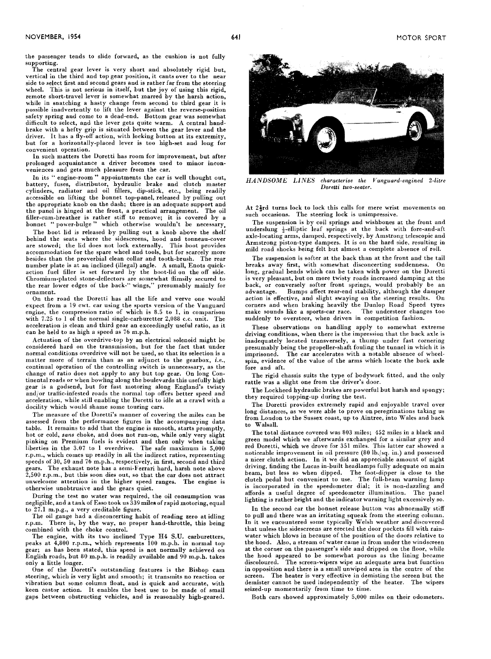the passenger tends to slide forward, as the cushion is not fully supporting.

The central gear lever is very short and absolutely rigid but, vertical in the third and top gear position, it cants over to the near side to select first and second gears and is rather far from the steering wheel. This is not serious in itself, but the joy of using this rigid, remote short-travel lever is somewhat marred by the harsh action, while in snatching a hasty change from second to third gear it is possible inadvertently to lift the lever against the reverse-position safety spring and come to a dead-end. Bottom gear was somewhat difficult to select, and the lever gets quite warm. A central handbrake with a hefty grip is situated between the gear lever and the driver. It has a fly-off action, with locking button at its extremity, but for a horizontally-placed lever is too high-set and long for convenient operation.

In such matters the Doretti has room for improvement, but after prolonged acquaintance a driver becomes used to minor inconveniences and gets much pleasure from the car.

In its " engine-room" appointments the car is well thought out, battery, fuses, distributor, hydraulic brake and clutch master cylinders, radiator and oil fillers, dip-stick, etc., being readily accessible on lifting the bonnet top-panel, released by pulling out the appropriate knob on the dash; there is an adequate support and<br>the panel is hinged at the front, a practical arrangement. The oil the panel is hinged at the front, a practical arrangement. filler-cum-breather is rather stiff to remove; it is covered by a bonnet " power-bulge " which otherwise wouldn't be necessary.

The boot lid is released by pulling out a knob above the shelf behind the seats where the sidescreens, hood and tonneau-cover are stowed; the lid does not lock externally. This boot provides accommodation for the spare wheel and tools, but for scarcely more besides than the proverbial clean collar and tooth-brush. The rear number plate is at an inclined (illegal) angle. A small, Enots quickaction fuel filler is set forward by the boot-lid on the off side. Chromium-plated stone-deflectors are somewhat flimsily secured to the rear lower edges of the back-" wings," presumably mainly for ornament.

On the road the Doretti has all the life and verve one would expect from a **19** cwt. car using the sports version of the Vanguard engine, the compression ratio of which is **8.5** to **1,** in comparison with **7.25** to 1 of the normal single-carburetter **2,088** C.C. unit. The acceleration is clean and third gear an exceedingly useful ratio, as it can be held to as high a speed as **76** m.p.h.

Actuation of the overdrive-top by an electrical solenoid might be considered hard on the transmission, but for the fact that under normal conditions overdrive will not be used, so that its selection is a matter more of terrain than as an adjunct to the gearbox, i.e., continual operation of the controlling switch is unnecessary, as the change of ratio does not apply to any but top gear. On long Continental roads or when bowling along the boulevards this usefully high gear is a godsend, but for fast motoring along England's twisty and/or traffic-infested roads the normal top offers better speed and acceleration, while still enabling the Doretti to idle at a crawl with a docility which would shame some touring cars.

The measure of the Doretti's manner of covering the miles can be assessed from the performance figures in the accompanying data table. It remains to add that the engine is smooth, starts promptly, hot or cold, sans choke, and does not run-on, while only very slight pinking on Premium fuels is evident and then only when taking liberties in the 3.07 to 1 overdrive. The safe maximum is  $5,000$ r.p.m., which comes up readily in all the indirect ratios, representing speeds of **30, 50** and **76** m.p.h., respectively, in first, second and third gears. The exhaust note has a semi-Ferrari hard, harsh note above **2,500** r.p.m., but this soon dies out, so that the car does not attract unwelcome attention in the higher speed ranges. The engine is otherwise unobtrusive and the gears quiet.

During the test no water was required, the oil consumption was negligible, and a tank of Esso took us **339** miles of rapid motoring, equal to **27.1** m.p.g., a very creditable figure.

The oil gange had a disconcerting habit of reading zero at idling r.p.m. There is, by the way, no proper hand-throttle, this being combined with the choke control.

The engine, with its two inclined Type **H4 S.U.** carburetters, peaks at **4,800** r.p.m., which represents **100** m.p.h. in normal top English roads, but 80 m.p.h. is readily available and 90 m.p.h. takes only a little longer.

One of the Doretti's outstanding features is the Bishop cam steering, which is very light and smooth; it transmits no reaction or vibration but some column float, and is quick and accurate, with keen castor action. It enables the best use to be made of small gaps between obstructing vehicles, and is reasonably high-geared.



*HANDSOME LINES* characterise the Vanguard-engined 2-litre Doretti two-seater.

At 2 $\frac{1}{2}$ rd turns lock to lock this calls for mere wrist movements on such occasions. The steering lock is unimpressive.

The suspension is by coil springs and wishbones at the front and underslung \$-elliptic leaf springs at the back with fore-and-aft axle-locating arms, damped, respectively, by Amstrong telescopic and Armstrong piston-type dampers. It is on the hard side, resulting in mild road shocks heing felt but almost a complete absence of roll.

The suspension is softer at the back than at the front and the tail breaks away first, with somewhat disconcerting suddenness. On long, gradual bends which can be taken with power on the Doretti is very pleasant, but on more twisty roads increased damping at the back, or conversely softer front springs, would probably be an advantage. Bumps affect rear-end stability, although the damper Bumps affect rear-end stability, although the damper action is effective, and slight swaying on the steering results. On corners and when braking heavily the Dunlop Road Speed tyres make sounds like a sports-car race. suddenly to oversteer, when driven in competition fashion.

These observations on handling apply to somewhat extreme driving conditions, when there is the impression that the back axle is inadequately located transversely, a thump under fast cornering presumably being the propeller-shaft fouling the tunnel in which it is imprisoned. The car accelerates with a notable absence of wheelspin, evidence of the value of the arms which locate the back axle fore and aft.

The rigid chassis suits the type of bodywork fitted, and the only rattle was a slight one from the driver's door.

The Lockheed hydraulic brakes are powerful but harsh and spongy; they required topping-up during the test.

The Doretti provides extremely rapid and enjoyable travel over long distances, as we were able to prove on peregrinations taking us from London to the Sussex coast, up to Aintree, into Wales and back to Walsall.

The total distance covered was **803** miles; **452** miles in a black and green model which we afterwards exchanged for a similar grey and red Doretti, which we drove for **351** miles. This latter car showed a noticeable improvement in oil pressure **(80** Ib./sq. in.) and possessed a nicer clutch action. In it we did an appreciable amount of night driving, finding the Lucas in-built headlamps fully adequate on main beam, but less so when dipped. The foot-dipper is close to the clutch pedal but convenient to use. The full-beam warning lamp is incorporated in the speedometer dial; it is non-dazzling and affords a useful degree of speedometer illumination. The panel lighting is rather bright and the indicator warning light excessively so.

In the second car the bonnet release button was abnormally stiff to pull and there was an irritating squeak from the steering column. In it we encountered some typically Welsh weather and discovered that unless the sidescreens are erected the door pockets fill with rainwater which blows in because of the position of the doors rclative to the hood. Also, a stream of water came in from under the windscreen at the corner on the passenger's side and dripped on the floor, while the hood appeared to be somewhat porous as the lining became discoloured. The screen-wipers wipe an adequate area but function in opposition and there is a small unwiped area in the centre of the screen. The heater is very effective in demisting the screen but the demister cannot be used independently of the heater. The wipers seized-up momentarily from time to time.

Both cars showed approximately **5,000** miles on their odometers.